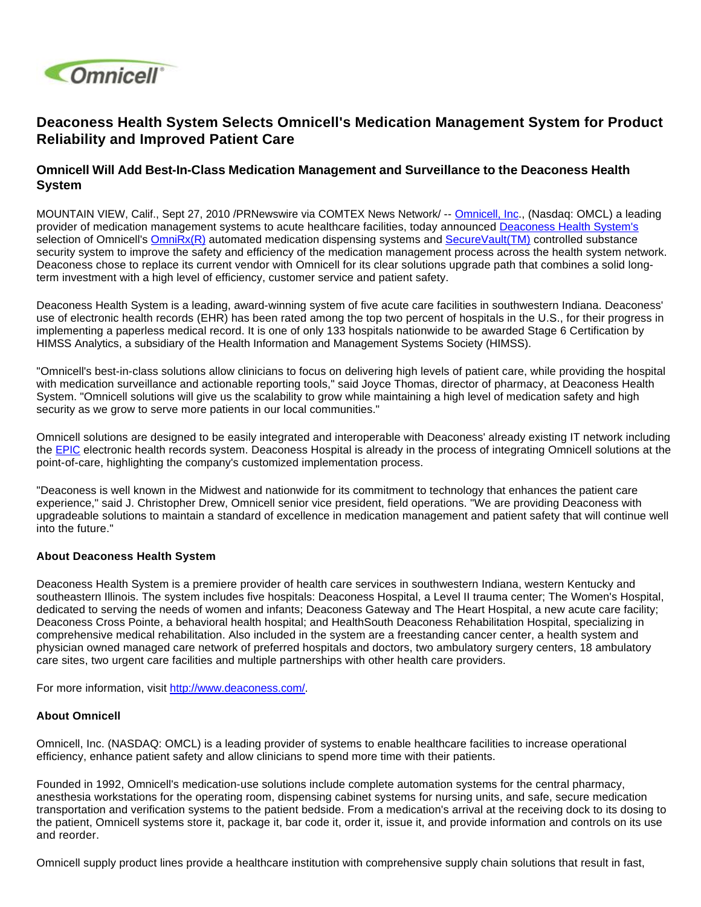

## **Deaconess Health System Selects Omnicell's Medication Management System for Product Reliability and Improved Patient Care**

## **Omnicell Will Add Best-In-Class Medication Management and Surveillance to the Deaconess Health System**

MOUNTAIN VIEW, Calif., Sept 27, 2010 /PRNewswire via COMTEX News Network/ -- [Omnicell, Inc](http://www.omnicell.com/)., (Nasdaq: OMCL) a leading provider of medication management systems to acute healthcare facilities, today announced [Deaconess Health System's](http://www.deaconess.com/) selection of Omnicell's [OmniRx\(R\)](http://www.omnicell.com/Solutions/Medication-Dispensing/Automated-Dispensing-Cabinets/Pages/OmniRX.aspx) automated medication dispensing systems and [SecureVault\(TM\)](http://www.omnicell.com/Solutions/Central-Pharmacy-Automation/Pages/Controlled-Substance-Management.aspx) controlled substance security system to improve the safety and efficiency of the medication management process across the health system network. Deaconess chose to replace its current vendor with Omnicell for its clear solutions upgrade path that combines a solid longterm investment with a high level of efficiency, customer service and patient safety.

Deaconess Health System is a leading, award-winning system of five acute care facilities in southwestern Indiana. Deaconess' use of electronic health records (EHR) has been rated among the top two percent of hospitals in the U.S., for their progress in implementing a paperless medical record. It is one of only 133 hospitals nationwide to be awarded Stage 6 Certification by HIMSS Analytics, a subsidiary of the Health Information and Management Systems Society (HIMSS).

"Omnicell's best-in-class solutions allow clinicians to focus on delivering high levels of patient care, while providing the hospital with medication surveillance and actionable reporting tools," said Joyce Thomas, director of pharmacy, at Deaconess Health System. "Omnicell solutions will give us the scalability to grow while maintaining a high level of medication safety and high security as we grow to serve more patients in our local communities."

Omnicell solutions are designed to be easily integrated and interoperable with Deaconess' already existing IT network including the [EPIC](http://www.epic.com/) electronic health records system. Deaconess Hospital is already in the process of integrating Omnicell solutions at the point-of-care, highlighting the company's customized implementation process.

"Deaconess is well known in the Midwest and nationwide for its commitment to technology that enhances the patient care experience," said J. Christopher Drew, Omnicell senior vice president, field operations. "We are providing Deaconess with upgradeable solutions to maintain a standard of excellence in medication management and patient safety that will continue well into the future."

## **About Deaconess Health System**

Deaconess Health System is a premiere provider of health care services in southwestern Indiana, western Kentucky and southeastern Illinois. The system includes five hospitals: Deaconess Hospital, a Level II trauma center; The Women's Hospital, dedicated to serving the needs of women and infants; Deaconess Gateway and The Heart Hospital, a new acute care facility; Deaconess Cross Pointe, a behavioral health hospital; and HealthSouth Deaconess Rehabilitation Hospital, specializing in comprehensive medical rehabilitation. Also included in the system are a freestanding cancer center, a health system and physician owned managed care network of preferred hospitals and doctors, two ambulatory surgery centers, 18 ambulatory care sites, two urgent care facilities and multiple partnerships with other health care providers.

For more information, visit <http://www.deaconess.com/>.

## **About Omnicell**

Omnicell, Inc. (NASDAQ: OMCL) is a leading provider of systems to enable healthcare facilities to increase operational efficiency, enhance patient safety and allow clinicians to spend more time with their patients.

Founded in 1992, Omnicell's medication-use solutions include complete automation systems for the central pharmacy, anesthesia workstations for the operating room, dispensing cabinet systems for nursing units, and safe, secure medication transportation and verification systems to the patient bedside. From a medication's arrival at the receiving dock to its dosing to the patient, Omnicell systems store it, package it, bar code it, order it, issue it, and provide information and controls on its use and reorder.

Omnicell supply product lines provide a healthcare institution with comprehensive supply chain solutions that result in fast,